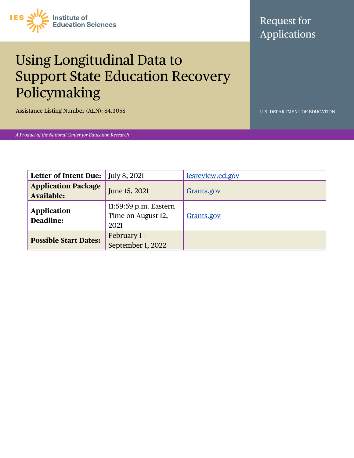

## Request for Applications

# Using Longitudinal Data to Support State Education Recovery Policymaking

Assistance Listing Number (ALN): 84.305S U.S. DEPARTMENT OF EDUCATION

*A Product of the National Center for Education Research*

| <b>Letter of Intent Due:</b>             | $\vert$ July 8, 2021                                | <i>iesreview.ed.gov</i> |
|------------------------------------------|-----------------------------------------------------|-------------------------|
| <b>Application Package</b><br>Available: | June 15, 2021                                       | Grants.gov              |
| <b>Application</b><br>Deadline:          | 11:59:59 p.m. Eastern<br>Time on August 12,<br>2021 | Grants.gov              |
| <b>Possible Start Dates:</b>             | February 1 -<br>September 1, 2022                   |                         |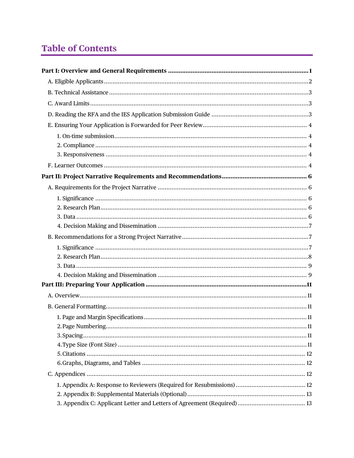## **Table of Contents**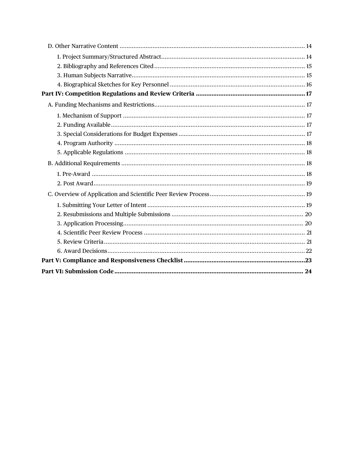<span id="page-2-0"></span>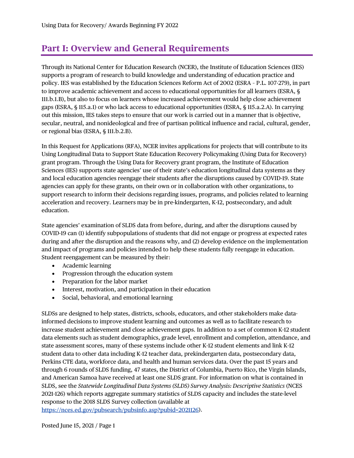## <span id="page-3-0"></span>**Part I: Overview and General Requirements**

Through its National Center for Education Research (NCER), the Institute of Education Sciences (IES) supports a program of research to build knowledge and understanding of education practice and policy. IES was established by the Education Sciences Reform Act of 2002 (ESRA – P.L. 107-279), in part to improve academic achievement and access to educational opportunities for all learners (ESRA, § 111.b.1.B), but also to focus on learners whose increased achievement would help close achievement gaps (ESRA, § 115.a.1) or who lack access to educational opportunities (ESRA, § 115.a.2.A). In carrying out this mission, IES takes steps to ensure that our work is carried out in a manner that is objective, secular, neutral, and nonideological and free of partisan political influence and racial, cultural, gender, or regional bias (ESRA, § 111.b.2.B).

In this Request for Applications (RFA), NCER invites applications for projects that will contribute to its Using Longitudinal Data to Support State Education Recovery Policymaking (Using Data for Recovery) grant program. Through the Using Data for Recovery grant program, the Institute of Education Sciences (IES) supports state agencies' use of their state's education longitudinal data systems as they and local education agencies reengage their students after the disruptions caused by COVID-19. State agencies can apply for these grants, on their own or in collaboration with other organizations, to support research to inform their decisions regarding issues, programs, and policies related to learning acceleration and recovery. Learners may be in pre-kindergarten, K-12, postsecondary, and adult education.

State agencies' examination of SLDS data from before, during, and after the disruptions caused by COVID-19 can (1) identify subpopulations of students that did not engage or progress at expected rates during and after the disruption and the reasons why, and (2) develop evidence on the implementation and impact of programs and policies intended to help these students fully reengage in education. Student reengagement can be measured by their:

- Academic learning
- Progression through the education system
- Preparation for the labor market
- Interest, motivation, and participation in their education
- Social, behavioral, and emotional learning

SLDSs are designed to help states, districts, schools, educators, and other stakeholders make datainformed decisions to improve student learning and outcomes as well as to facilitate research to increase student achievement and close achievement gaps. In addition to a set of common K-12 student data elements such as student demographics, grade level, enrollment and completion, attendance, and state assessment scores, many of these systems include other K-12 student elements and link K-12 student data to other data including K-12 teacher data, prekindergarten data, postsecondary data, Perkins CTE data, workforce data, and health and human services data. Over the past 15 years and through 6 rounds of SLDS funding, 47 states, the District of Columbia, Puerto Rico, the Virgin Islands, and American Samoa have received at least one SLDS grant. For information on what is contained in SLDS, see the *Statewide Longitudinal Data Systems (SLDS) Survey Analysis: Descriptive Statistics* (NCES 2021-126) which reports aggregate summary statistics of SLDS capacity and includes the state-level response to the 2018 SLDS Survey collection (available at

[https://nces.ed.gov/pubsearch/pubsinfo.asp?pubid=2021126\)](https://nces.ed.gov/pubsearch/pubsinfo.asp?pubid=2021126).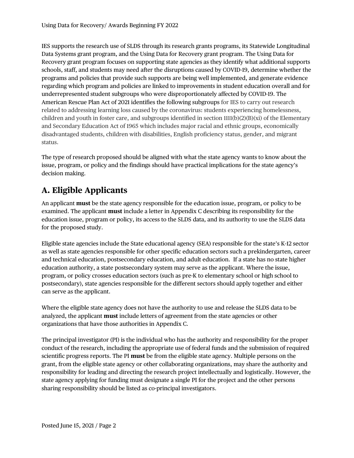IES supports the research use of SLDS through its research grants programs, its Statewide Longitudinal Data Systems grant program, and the Using Data for Recovery grant program. The Using Data for Recovery grant program focuses on supporting state agencies as they identify what additional supports schools, staff, and students may need after the disruptions caused by COVID-19, determine whether the programs and policies that provide such supports are being well implemented, and generate evidence regarding which program and policies are linked to improvements in student education overall and for underrepresented student subgroups who were disproportionately affected by COVID-19. The American Rescue Plan Act of 2021 identifies the following subgroups for IES to carry out research related to addressing learning loss caused by the coronavirus: students experiencing homelessness, children and youth in foster care, and subgroups identified in section  $1111(b)(2)(B)(xi)$  of the Elementary and Secondary Education Act of 1965 which includes major racial and ethnic groups, economically disadvantaged students, children with disabilities, English proficiency status, gender, and migrant status.

The type of research proposed should be aligned with what the state agency wants to know about the issue, program, or policy and the findings should have practical implications for the state agency's decision making.

## <span id="page-4-0"></span>**A. Eligible Applicants**

An applicant **must** be the state agency responsible for the education issue, program, or policy to be examined. The applicant **must** include a letter in Appendix C describing its responsibility for the education issue, program or policy, its access to the SLDS data, and its authority to use the SLDS data for the proposed study.

Eligible state agencies include the State educational agency (SEA) responsible for the state's K-12 sector as well as state agencies responsible for other specific education sectors such a prekindergarten, career and technical education, postsecondary education, and adult education. If a state has no state higher education authority, a state postsecondary system may serve as the applicant. Where the issue, program, or policy crosses education sectors (such as pre-K to elementary school or high school to postsecondary), state agencies responsible for the different sectors should apply together and either can serve as the applicant.

Where the eligible state agency does not have the authority to use and release the SLDS data to be analyzed, the applicant **must** include letters of agreement from the state agencies or other organizations that have those authorities in Appendix C.

The principal investigator (PI) is the individual who has the authority and responsibility for the proper conduct of the research, including the appropriate use of federal funds and the submission of required scientific progress reports. The PI **must** be from the eligible state agency. Multiple persons on the grant, from the eligible state agency or other collaborating organizations, may share the authority and responsibility for leading and directing the research project intellectually and logistically. However, the state agency applying for funding must designate a single PI for the project and the other persons sharing responsibility should be listed as co-principal investigators.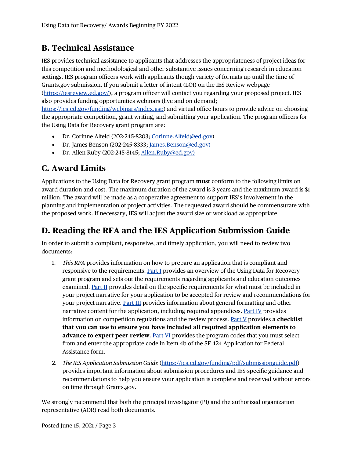### <span id="page-5-0"></span>**B. Technical Assistance**

IES provides technical assistance to applicants that addresses the appropriateness of project ideas for this competition and methodological and other substantive issues concerning research in education settings. IES program officers work with applicants though variety of formats up until the time of Grants.gov submission. If you submit a letter of intent (LOI) on the IES Review webpage [\(https://iesreview.ed.gov/\)](https://iesreview.ed.gov/), a program officer will contact you regarding your proposed project. IES also provides funding opportunities webinars (live and on demand; [https://ies.ed.gov/funding/webinars/index.asp\)](https://ies.ed.gov/funding/webinars/index.asp) and virtual office hours to provide advice on choosing the appropriate competition, grant writing, and submitting your application. The program officers for

the Using Data for Recovery grant program are:

- Dr. Corinne Alfeld (202-245-8203; [Corinne.Alfeld@ed.gov\)](mailto:Corinne.Alfeld@ed.gov)
- Dr. James Benson (202-245-8333[; James.Benson@ed.gov\)](mailto:James.Benson@ed.gov)
- Dr. Allen Ruby (202-245-8145; [Allen.Ruby@ed.gov\)](mailto:Allen.Ruby@ed.gov)

### <span id="page-5-1"></span>**C. Award Limits**

Applications to the Using Data for Recovery grant program **must** conform to the following limits on award duration and cost. The maximum duration of the award is 3 years and the maximum award is \$1 million. The award will be made as a cooperative agreement to support IES's involvement in the planning and implementation of project activities. The requested award should be commensurate with the proposed work. If necessary, IES will adjust the award size or workload as appropriate.

### <span id="page-5-2"></span>**D. Reading the RFA and the IES Application Submission Guide**

In order to submit a compliant, responsive, and timely application, you will need to review two documents:

- 1. *This RFA* provides information on how to prepare an application that is compliant and responsive to the requirements. [Part I](#page-2-0) provides an overview of the Using Data for Recovery grant program and sets out the requirements regarding applicants and education outcomes examined. [Part II](#page-8-0) provides detail on the specific requirements for what must be included in your project narrative for your application to be accepted for review and recommendations for your project narrative. [Part III](#page-13-0) provides information about general formatting and other narrative content for the application, including required appendices. [Part IV](#page-19-0) provides information on competition regulations and the review process. [Part V](#page-25-0) provides **a checklist that you can use to ensure you have included all required application elements to advance to expert peer review**. [Part VI](#page-26-0) provides the program codes that you must select from and enter the appropriate code in Item 4b of the SF 424 Application for Federal Assistance form.
- 2. *The IES Application Submission Guide* [\(https://ies.ed.gov/funding/pdf/submissionguide.pdf\)](https://ies.ed.gov/funding/pdf/submissionguide.pdf) provides important information about submission procedures and IES-specific guidance and recommendations to help you ensure your application is complete and received without errors on time through Grants.gov.

We strongly recommend that both the principal investigator (PI) and the authorized organization representative (AOR) read both documents.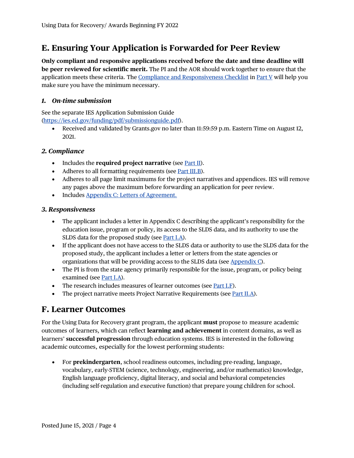### <span id="page-6-0"></span>**E. Ensuring Your Application is Forwarded for Peer Review**

**Only compliant and responsive applications received before the date and time deadline will be peer reviewed for scientific merit.** The PI and the AOR should work together to ensure that the application meets these criteria. The [Compliance and Responsiveness Checklist](#page-25-0) in [Part V](#page-25-0) will help you make sure you have the minimum necessary.

#### <span id="page-6-1"></span>*1. On-time submission*

See the separate IES Application Submission Guide

[\(https://ies.ed.gov/funding/pdf/submissionguide.pdf\)](https://ies.ed.gov/funding/pdf/submissionguide.pdf).

• Received and validated by Grants.gov no later than 11:59:59 p.m. Eastern Time on August 12, 2021.

#### <span id="page-6-2"></span>*2. Compliance*

- Includes the **required project narrative** (see <u>Part II</u>).
- Adheres to all formatting requirements (see [Part III.B\)](#page-13-2).
- Adheres to all page limit maximums for the project narratives and appendices. IES will remove any pages above the maximum before forwarding an application for peer review.
- Includes [Appendix C: Letters of Agreement.](#page-15-2)

#### <span id="page-6-3"></span>*3. Responsiveness*

- The applicant includes a letter in Appendix C describing the applicant's responsibility for the education issue, program or policy, its access to the SLDS data, and its authority to use the SLDS data for the proposed study (see **Part I.A)**.
- If the applicant does not have access to the SLDS data or authority to use the SLDS data for the proposed study, the applicant includes a letter or letters from the state agencies or organizations that will be providing access to the SLDS data (see [Appendix C\)](#page-15-2).
- The PI is from the state agency primarily responsible for the issue, program, or policy being examined (se[e Part I.A\)](#page-4-0).
- The research includes measures of learner outcomes (see [Part I.F\)](#page-6-4).
- The project narrative meets Project Narrative Requirements (see [Part II.A\)](#page-8-1).

### <span id="page-6-4"></span>**F. Learner Outcomes**

For the Using Data for Recovery grant program, the applicant **must** propose to measure academic outcomes of learners, which can reflect **learning and achievement** in content domains, as well as learners' **successful progression** through education systems. IES is interested in the following academic outcomes, especially for the lowest performing students:

• For **prekindergarten**, school readiness outcomes, including pre-reading, language, vocabulary, early-STEM (science, technology, engineering, and/or mathematics) knowledge, English language proficiency, digital literacy, and social and behavioral competencies (including self-regulation and executive function) that prepare young children for school.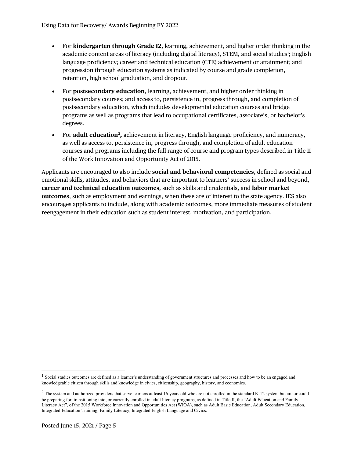- For **kindergarten through Grade 12**, learning, achievement, and higher order thinking in the academic content areas of literacy (including digital literacy), STEM, and social studies<sup>[1](#page-7-0)</sup>; English language proficiency; career and technical education (CTE) achievement or attainment; and progression through education systems as indicated by course and grade completion, retention, high school graduation, and dropout.
- For **postsecondary education**, learning, achievement, and higher order thinking in postsecondary courses; and access to, persistence in, progress through, and completion of postsecondary education, which includes developmental education courses and bridge programs as well as programs that lead to occupational certificates, associate's, or bachelor's degrees.
- For **adult education**<sup>[2](#page-7-1)</sup>, achievement in literacy, English language proficiency, and numeracy, as well as access to, persistence in, progress through, and completion of adult education courses and programs including the full range of course and program types described in Title II of the Work Innovation and Opportunity Act of 2015.

Applicants are encouraged to also include **social and behavioral competencies**, defined as social and emotional skills, attitudes, and behaviors that are important to learners' success in school and beyond, **career and technical education outcomes**, such as skills and credentials, and **labor market outcomes**, such as employment and earnings, when these are of interest to the state agency. IES also encourages applicants to include, along with academic outcomes, more immediate measures of student reengagement in their education such as student interest, motivation, and participation.

<span id="page-7-0"></span><sup>&</sup>lt;sup>1</sup> Social studies outcomes are defined as a learner's understanding of government structures and processes and how to be an engaged and knowledgeable citizen through skills and knowledge in civics, citizenship, geography, history, and economics.

<span id="page-7-1"></span> $2$  The system and authorized providers that serve learners at least 16-years old who are not enrolled in the standard K-12 system but are or could be preparing for, transitioning into, or currently enrolled in adult literacy programs, as defined in Title II, the "Adult Education and Family Literacy Act", of the 2015 Workforce Innovation and Opportunities Act (WIOA), such as Adult Basic Education, Adult Secondary Education, Integrated Education Training, Family Literacy, Integrated English Language and Civics.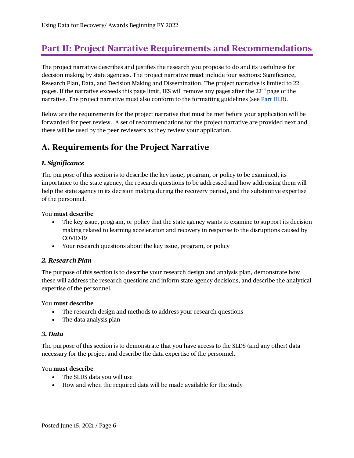## <span id="page-8-0"></span>**Part II: Project Narrative Requirements and Recommendations**

The project narrative describes and justifies the research you propose to do and its usefulness for decision making by state agencies. The project narrative **must** include four sections: Significance, Research Plan, Data, and Decision Making and Dissemination. The project narrative is limited to 22 pages. If the narrative exceeds this page limit, IES will remove any pages after the 22nd page of the narrative. The project narrative must also conform to the formatting guidelines (see [Part III.B\)](#page-13-2).

Below are the requirements for the project narrative that must be met before your application will be forwarded for peer review. A set of recommendations for the project narrative are provided next and these will be used by the peer reviewers as they review your application.

### <span id="page-8-1"></span>**A. Requirements for the Project Narrative**

#### <span id="page-8-2"></span>*1. Significance*

The purpose of this section is to describe the key issue, program, or policy to be examined, its importance to the state agency, the research questions to be addressed and how addressing them will help the state agency in its decision making during the recovery period, and the substantive expertise of the personnel.

#### You **must describe**

- The key issue, program, or policy that the state agency wants to examine to support its decision making related to learning acceleration and recovery in response to the disruptions caused by COVID-19
- Your research questions about the key issue, program, or policy

#### <span id="page-8-3"></span>*2. Research Plan*

The purpose of this section is to describe your research design and analysis plan, demonstrate how these will address the research questions and inform state agency decisions, and describe the analytical expertise of the personnel.

#### You **must describe**

- The research design and methods to address your research questions
- The data analysis plan

#### <span id="page-8-4"></span>*3. Data*

The purpose of this section is to demonstrate that you have access to the SLDS (and any other) data necessary for the project and describe the data expertise of the personnel.

#### You **must describe**

- The SLDS data you will use
- How and when the required data will be made available for the study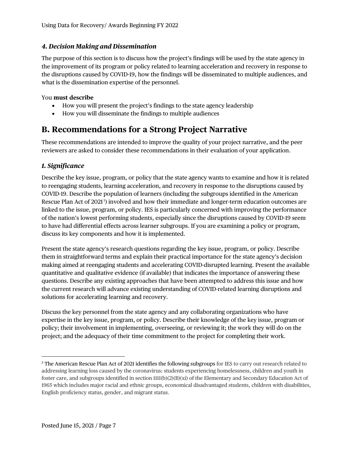#### <span id="page-9-0"></span>*4. Decision Making and Dissemination*

The purpose of this section is to discuss how the project's findings will be used by the state agency in the improvement of its program or policy related to learning acceleration and recovery in response to the disruptions caused by COVID-19, how the findings will be disseminated to multiple audiences, and what is the dissemination expertise of the personnel.

#### You **must describe**

- How you will present the project's findings to the state agency leadership
- How you will disseminate the findings to multiple audiences

### <span id="page-9-1"></span>**B. Recommendations for a Strong Project Narrative**

These recommendations are intended to improve the quality of your project narrative, and the peer reviewers are asked to consider these recommendations in their evaluation of your application.

#### <span id="page-9-2"></span>*1. Significance*

Describe the key issue, program, or policy that the state agency wants to examine and how it is related to reengaging students, learning acceleration, and recovery in response to the disruptions caused by COVID-19. Describe the population of learners (including the subgroups identified in the American Rescue Plan Act of 2021<sup>[3](#page-9-3)</sup>) involved and how their immediate and longer-term education outcomes are linked to the issue, program, or policy. IES is particularly concerned with improving the performance of the nation's lowest performing students, especially since the disruptions caused by COVID-19 seem to have had differential effects across learner subgroups. If you are examining a policy or program, discuss its key components and how it is implemented.

Present the state agency's research questions regarding the key issue, program, or policy. Describe them in straightforward terms and explain their practical importance for the state agency's decision making aimed at reengaging students and accelerating COVID-disrupted learning. Present the available quantitative and qualitative evidence (if available) that indicates the importance of answering these questions. Describe any existing approaches that have been attempted to address this issue and how the current research will advance existing understanding of COVID-related learning disruptions and solutions for accelerating learning and recovery.

Discuss the key personnel from the state agency and any collaborating organizations who have expertise in the key issue, program, or policy. Describe their knowledge of the key issue, program or policy; their involvement in implementing, overseeing, or reviewing it; the work they will do on the project; and the adequacy of their time commitment to the project for completing their work.

<span id="page-9-3"></span><sup>3</sup> The American Rescue Plan Act of 2021 identifies the following subgroups for IES to carry out research related to addressing learning loss caused by the coronavirus: students experiencing homelessness, children and youth in foster care, and subgroups identified in section 1111(b)(2)(B)(xi) of the Elementary and Secondary Education Act of 1965 which includes major racial and ethnic groups, economical disadvantaged students, children with disabilities, English proficiency status, gender, and migrant status.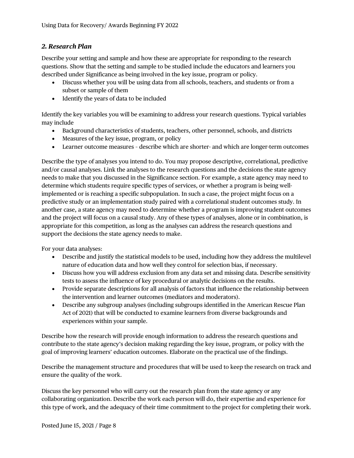#### <span id="page-10-0"></span>*2. Research Plan*

Describe your setting and sample and how these are appropriate for responding to the research questions. Show that the setting and sample to be studied include the educators and learners you described under Significance as being involved in the key issue, program or policy.

- Discuss whether you will be using data from all schools, teachers, and students or from a subset or sample of them
- Identify the years of data to be included

Identify the key variables you will be examining to address your research questions. Typical variables may include

- Background characteristics of students, teachers, other personnel, schools, and districts
- Measures of the key issue, program, or policy
- Learner outcome measures describe which are shorter- and which are longer-term outcomes

Describe the type of analyses you intend to do. You may propose descriptive, correlational, predictive and/or causal analyses. Link the analyses to the research questions and the decisions the state agency needs to make that you discussed in the Significance section. For example, a state agency may need to determine which students require specific types of services, or whether a program is being wellimplemented or is reaching a specific subpopulation. In such a case, the project might focus on a predictive study or an implementation study paired with a correlational student outcomes study. In another case, a state agency may need to determine whether a program is improving student outcomes and the project will focus on a causal study. Any of these types of analyses, alone or in combination, is appropriate for this competition, as long as the analyses can address the research questions and support the decisions the state agency needs to make.

For your data analyses:

- Describe and justify the statistical models to be used, including how they address the multilevel nature of education data and how well they control for selection bias, if necessary.
- Discuss how you will address exclusion from any data set and missing data. Describe sensitivity tests to assess the influence of key procedural or analytic decisions on the results.
- Provide separate descriptions for all analysis of factors that influence the relationship between the intervention and learner outcomes (mediators and moderators).
- Describe any subgroup analyses (including subgroups identified in the American Rescue Plan Act of 2021) that will be conducted to examine learners from diverse backgrounds and experiences within your sample.

Describe how the research will provide enough information to address the research questions and contribute to the state agency's decision making regarding the key issue, program, or policy with the goal of improving learners' education outcomes. Elaborate on the practical use of the findings.

Describe the management structure and procedures that will be used to keep the research on track and ensure the quality of the work.

Discuss the key personnel who will carry out the research plan from the state agency or any collaborating organization. Describe the work each person will do, their expertise and experience for this type of work, and the adequacy of their time commitment to the project for completing their work.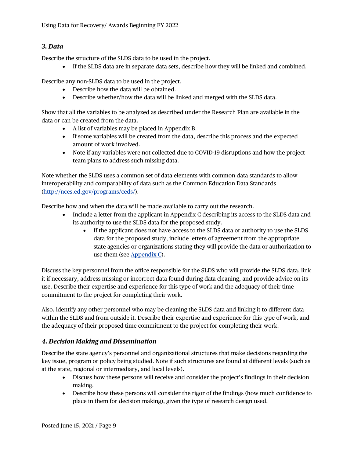#### <span id="page-11-0"></span>*3. Data*

Describe the structure of the SLDS data to be used in the project.

• If the SLDS data are in separate data sets, describe how they will be linked and combined.

Describe any non-SLDS data to be used in the project.

- Describe how the data will be obtained.
- Describe whether/how the data will be linked and merged with the SLDS data.

Show that all the variables to be analyzed as described under the Research Plan are available in the data or can be created from the data.

- A list of variables may be placed in Appendix B.
- If some variables will be created from the data, describe this process and the expected amount of work involved.
- Note if any variables were not collected due to COVID-19 disruptions and how the project team plans to address such missing data.

Note whether the SLDS uses a common set of data elements with common data standards to allow interoperability and comparability of data such as the Common Education Data Standards [\(http://nces.ed.gov/programs/ceds/\)](http://nces.ed.gov/programs/ceds/).

Describe how and when the data will be made available to carry out the research.

- Include a letter from the applicant in Appendix C describing its access to the SLDS data and its authority to use the SLDS data for the proposed study.
	- If the applicant does not have access to the SLDS data or authority to use the SLDS data for the proposed study, include letters of agreement from the appropriate state agencies or organizations stating they will provide the data or authorization to use them (see [Appendix C\)](#page-15-2).

Discuss the key personnel from the office responsible for the SLDS who will provide the SLDS data, link it if necessary, address missing or incorrect data found during data cleaning, and provide advice on its use. Describe their expertise and experience for this type of work and the adequacy of their time commitment to the project for completing their work.

Also, identify any other personnel who may be cleaning the SLDS data and linking it to different data within the SLDS and from outside it. Describe their expertise and experience for this type of work, and the adequacy of their proposed time commitment to the project for completing their work.

#### <span id="page-11-1"></span>*4. Decision Making and Dissemination*

Describe the state agency's personnel and organizational structures that make decisions regarding the key issue, program or policy being studied. Note if such structures are found at different levels (such as at the state, regional or intermediary, and local levels).

- Discuss how these persons will receive and consider the project's findings in their decision making.
- Describe how these persons will consider the rigor of the findings (how much confidence to place in them for decision making), given the type of research design used.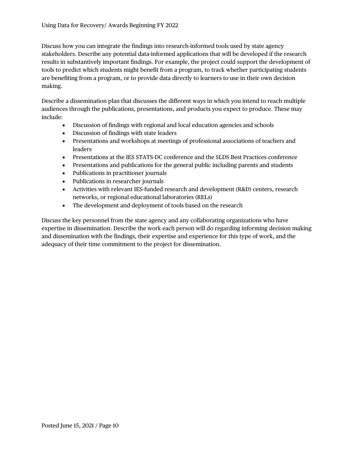Discuss how you can integrate the findings into research-informed tools used by state agency stakeholders. Describe any potential data-informed applications that will be developed if the research results in substantively important findings. For example, the project could support the development of tools to predict which students might benefit from a program, to track whether participating students are benefiting from a program, or to provide data directly to learners to use in their own decision making.

Describe a dissemination plan that discusses the different ways in which you intend to reach multiple audiences through the publications, presentations, and products you expect to produce. These may include:

- Discussion of findings with regional and local education agencies and schools
- Discussion of findings with state leaders
- Presentations and workshops at meetings of professional associations of teachers and leaders
- Presentations at the IES STATS-DC conference and the SLDS Best Practices conference
- Presentations and publications for the general public including parents and students
- Publications in practitioner journals
- Publications in researcher journals
- Activities with relevant IES-funded research and development (R&D) centers, research networks, or regional educational laboratories (RELs)
- The development and deployment of tools based on the research

Discuss the key personnel from the state agency and any collaborating organizations who have expertise in dissemination. Describe the work each person will do regarding informing decision making and dissemination with the findings, their expertise and experience for this type of work, and the adequacy of their time commitment to the project for dissemination.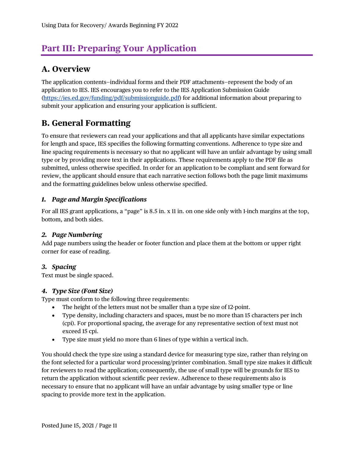## <span id="page-13-0"></span>**Part III: Preparing Your Application**

### <span id="page-13-1"></span>**A. Overview**

The application contents—individual forms and their PDF attachments—represent the body of an application to IES. IES encourages you to refer to the IES Application Submission Guide [\(https://ies.ed.gov/funding/pdf/submissionguide.pdf\)](https://ies.ed.gov/funding/pdf/submissionguide.pdf) for additional information about preparing to submit your application and ensuring your application is sufficient.

### <span id="page-13-2"></span>**B. General Formatting**

To ensure that reviewers can read your applications and that all applicants have similar expectations for length and space, IES specifies the following formatting conventions. Adherence to type size and line spacing requirements is necessary so that no applicant will have an unfair advantage by using small type or by providing more text in their applications. These requirements apply to the PDF file as submitted, unless otherwise specified. In order for an application to be compliant and sent forward for review, the applicant should ensure that each narrative section follows both the page limit maximums and the formatting guidelines below unless otherwise specified.

#### <span id="page-13-3"></span>*1. Page and Margin Specifications*

For all IES grant applications, a "page" is 8.5 in. x 11 in. on one side only with 1-inch margins at the top, bottom, and both sides.

#### <span id="page-13-4"></span>*2. Page Numbering*

Add page numbers using the header or footer function and place them at the bottom or upper right corner for ease of reading.

#### <span id="page-13-5"></span>*3. Spacing*

Text must be single spaced.

#### <span id="page-13-6"></span>*4. Type Size (Font Size)*

Type must conform to the following three requirements:

- The height of the letters must not be smaller than a type size of 12-point.
- Type density, including characters and spaces, must be no more than 15 characters per inch (cpi). For proportional spacing, the average for any representative section of text must not exceed 15 cpi.
- Type size must yield no more than 6 lines of type within a vertical inch.

You should check the type size using a standard device for measuring type size, rather than relying on the font selected for a particular word processing/printer combination. Small type size makes it difficult for reviewers to read the application; consequently, the use of small type will be grounds for IES to return the application without scientific peer review. Adherence to these requirements also is necessary to ensure that no applicant will have an unfair advantage by using smaller type or line spacing to provide more text in the application.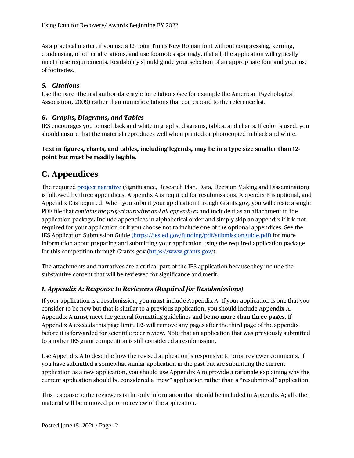As a practical matter, if you use a 12-point Times New Roman font without compressing, kerning, condensing, or other alterations, and use footnotes sparingly, if at all, the application will typically meet these requirements. Readability should guide your selection of an appropriate font and your use of footnotes.

#### <span id="page-14-0"></span>*5. Citations*

Use the parenthetical author-date style for citations (see for example the American Psychological Association, 2009) rather than numeric citations that correspond to the reference list.

#### <span id="page-14-1"></span>*6. Graphs, Diagrams, and Tables*

IES encourages you to use black and white in graphs, diagrams, tables, and charts. If color is used, you should ensure that the material reproduces well when printed or photocopied in black and white.

#### **Text in figures, charts, and tables, including legends, may be in a type size smaller than 12 point but must be readily legible**.

### <span id="page-14-2"></span>**C. Appendices**

The required [project narrative](#page-8-0) (Significance, Research Plan, Data, Decision Making and Dissemination) is followed by three appendices. Appendix A is required for resubmissions, Appendix B is optional, and Appendix C is required. When you submit your application through Grants.gov, you will create a single PDF file that *contains the project narrative and all appendices* and include it as an attachment in the application package**.** Include appendices in alphabetical order and simply skip an appendix if it is not required for your application or if you choose not to include one of the optional appendices. See the IES Application Submission Guide (https://ies.ed.gov/funding/pdf/submissionguide.pdf) for more information about preparing and submitting your application using the required application package for this competition through Grants.gov [\(https://www.grants.gov/\)](https://www.grants.gov/).

The attachments and narratives are a critical part of the IES application because they include the substantive content that will be reviewed for significance and merit.

#### <span id="page-14-4"></span><span id="page-14-3"></span>*1. Appendix A: Response to Reviewers (Required for Resubmissions)*

If your application is a resubmission, you **must** include Appendix A. If your application is one that you consider to be new but that is similar to a previous application, you should include Appendix A. Appendix A **must** meet the general formatting guidelines and be **no more than three pages**. If Appendix A exceeds this page limit, IES will remove any pages after the third page of the appendix before it is forwarded for scientific peer review. Note that an application that was previously submitted to another IES grant competition is still considered a resubmission.

Use Appendix A to describe how the revised application is responsive to prior reviewer comments. If you have submitted a somewhat similar application in the past but are submitting the current application as a new application, you should use Appendix A to provide a rationale explaining why the current application should be considered a "new" application rather than a "resubmitted" application.

This response to the reviewers is the only information that should be included in Appendix A; all other material will be removed prior to review of the application.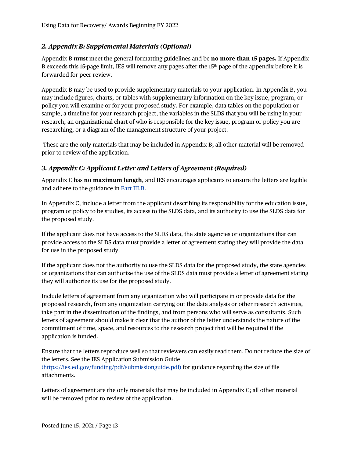#### <span id="page-15-0"></span>*2. Appendix B: Supplemental Materials (Optional)*

Appendix B **must** meet the general formatting guidelines and be **no more than 15 pages.** If Appendix B exceeds this 15-page limit, IES will remove any pages after the 15<sup>th</sup> page of the appendix before it is forwarded for peer review.

Appendix B may be used to provide supplementary materials to your application. In Appendix B, you may include figures, charts, or tables with supplementary information on the key issue, program, or policy you will examine or for your proposed study. For example, data tables on the population or sample, a timeline for your research project, the variables in the SLDS that you will be using in your research, an organizational chart of who is responsible for the key issue, program or policy you are researching, or a diagram of the management structure of your project.

These are the only materials that may be included in Appendix B; all other material will be removed prior to review of the application.

#### <span id="page-15-2"></span><span id="page-15-1"></span>*3. Appendix C: Applicant Letter and Letters of Agreement (Required)*

Appendix C has **no maximum length**, and IES encourages applicants to ensure the letters are legible and adhere to the guidance in [Part III.B.](#page-13-2)

In Appendix C, include a letter from the applicant describing its responsibility for the education issue, program or policy to be studies, its access to the SLDS data, and its authority to use the SLDS data for the proposed study.

If the applicant does not have access to the SLDS data, the state agencies or organizations that can provide access to the SLDS data must provide a letter of agreement stating they will provide the data for use in the proposed study.

If the applicant does not the authority to use the SLDS data for the proposed study, the state agencies or organizations that can authorize the use of the SLDS data must provide a letter of agreement stating they will authorize its use for the proposed study.

Include letters of agreement from any organization who will participate in or provide data for the proposed research, from any organization carrying out the data analysis or other research activities, take part in the dissemination of the findings, and from persons who will serve as consultants. Such letters of agreement should make it clear that the author of the letter understands the nature of the commitment of time, space, and resources to the research project that will be required if the application is funded.

Ensure that the letters reproduce well so that reviewers can easily read them. Do not reduce the size of the letters. See the IES Application Submission Guide (https://ies.ed.gov/funding/pdf/submissionguide.pdf) for guidance regarding the size of file attachments.

Letters of agreement are the only materials that may be included in Appendix C; all other material will be removed prior to review of the application.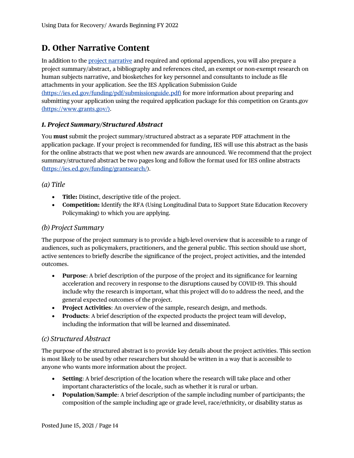### <span id="page-16-0"></span>**D. Other Narrative Content**

In addition to the [project narrative](#page-8-0) and required and optional appendices, you will also prepare a project summary/abstract, a bibliography and references cited, an exempt or non-exempt research on human subjects narrative, and biosketches for key personnel and consultants to include as file attachments in your application. See the IES Application Submission Guide [\(https://ies.ed.gov/funding/pdf/submissionguide.pdf\)](https://ies.ed.gov/funding/pdf/submissionguide.pdf) for more information about preparing and submitting your application using the required application package for this competition on Grants.gov (https://www.grants.gov/).

#### <span id="page-16-1"></span>*1. Project Summary/Structured Abstract*

You **must** submit the project summary/structured abstract as a separate PDF attachment in the application package. If your project is recommended for funding, IES will use this abstract as the basis for the online abstracts that we post when new awards are announced. We recommend that the project summary/structured abstract be two pages long and follow the format used for IES online abstracts [\(https://ies.ed.gov/funding/grantsearch/\)](https://ies.ed.gov/funding/grantsearch/).

*(a) Title*

- **Title:** Distinct, descriptive title of the project.
- **Competition:** Identify the RFA (Using Longitudinal Data to Support State Education Recovery Policymaking) to which you are applying.

#### *(b) Project Summary*

The purpose of the project summary is to provide a high-level overview that is accessible to a range of audiences, such as policymakers, practitioners, and the general public. This section should use short, active sentences to briefly describe the significance of the project, project activities, and the intended outcomes.

- **Purpose**: A brief description of the purpose of the project and its significance for learning acceleration and recovery in response to the disruptions caused by COVID-19. This should include why the research is important, what this project will do to address the need, and the general expected outcomes of the project.
- **Project Activities**: An overview of the sample, research design, and methods.
- **Products**: A brief description of the expected products the project team will develop, including the information that will be learned and disseminated.

#### *(c) Structured Abstract*

The purpose of the structured abstract is to provide key details about the project activities. This section is most likely to be used by other researchers but should be written in a way that is accessible to anyone who wants more information about the project.

- **Setting**: A brief description of the location where the research will take place and other important characteristics of the locale, such as whether it is rural or urban.
- **Population/Sample**: A brief description of the sample including number of participants; the composition of the sample including age or grade level, race/ethnicity, or disability status as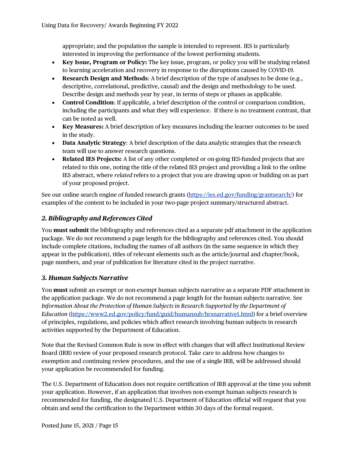appropriate; and the population the sample is intended to represent. IES is particularly interested in improving the performance of the lowest performing students.

- **Key Issue, Program or Policy:** The key issue, program, or policy you will be studying related to learning acceleration and recovery in response to the disruptions caused by COVID-19.
- **Research Design and Methods**: A brief description of the type of analyses to be done (e.g., descriptive, correlational, predictive, causal) and the design and methodology to be used. Describe design and methods year by year, in terms of steps or phases as applicable.
- **Control Condition**: If applicable, a brief description of the control or comparison condition, including the participants and what they will experience. If there is no treatment contrast, that can be noted as well.
- **Key Measures:** A brief description of key measures including the learner outcomes to be used in the study.
- **Data Analytic Strategy**: A brief description of the data analytic strategies that the research team will use to answer research questions.
- **Related IES Projects:** A list of any other completed or on-going IES-funded projects that are related to this one, noting the title of the related IES project and providing a link to the online IES abstract, where *related* refers to a project that you are drawing upon or building on as part of your proposed project.

See our online search engine of funded research grants [\(https://ies.ed.gov/funding/grantsearch/\)](https://ies.ed.gov/funding/grantsearch/) for examples of the content to be included in your two-page project summary/structured abstract.

#### <span id="page-17-0"></span>*2. Bibliography and References Cited*

You **must submit** the bibliography and references cited as a separate pdf attachment in the application package. We do not recommend a page length for the bibliography and references cited. You should include complete citations, including the names of all authors (in the same sequence in which they appear in the publication), titles of relevant elements such as the article/journal and chapter/book, page numbers, and year of publication for literature cited in the project narrative.

#### <span id="page-17-1"></span>*3. Human Subjects Narrative*

You **must** submit an exempt or non-exempt human subjects narrative as a separate PDF attachment in the application package. We do not recommend a page length for the human subjects narrative. See *Information About the Protection of Human Subjects in Research Supported by the Department of Education* [\(https://www2.ed.gov/policy/fund/guid/humansub/hrsnarrative1.html\)](https://www2.ed.gov/policy/fund/guid/humansub/hrsnarrative1.html) for a brief overview of principles, regulations, and policies which affect research involving human subjects in research activities supported by the Department of Education.

Note that the Revised Common Rule is now in effect with changes that will affect Institutional Review Board (IRB) review of your proposed research protocol. Take care to address how changes to exemption and continuing review procedures, and the use of a single IRB, will be addressed should your application be recommended for funding.

The U.S. Department of Education does not require certification of IRB approval at the time you submit your application. However, if an application that involves non-exempt human subjects research is recommended for funding, the designated U.S. Department of Education official will request that you obtain and send the certification to the Department within 30 days of the formal request.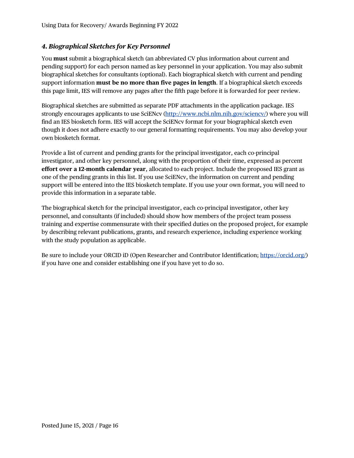#### <span id="page-18-0"></span>*4. Biographical Sketches for Key Personnel*

You **must** submit a biographical sketch (an abbreviated CV plus information about current and pending support) for each person named as key personnel in your application. You may also submit biographical sketches for consultants (optional). Each biographical sketch with current and pending support information **must be no more than five pages in length**. If a biographical sketch exceeds this page limit, IES will remove any pages after the fifth page before it is forwarded for peer review.

Biographical sketches are submitted as separate PDF attachments in the application package. IES strongly encourages applicants to use SciENcv [\(http://www.ncbi.nlm.nih.gov/sciencv/\)](http://www.ncbi.nlm.nih.gov/sciencv/) where you will find an IES biosketch form. IES will accept the SciENcv format for your biographical sketch even though it does not adhere exactly to our general formatting requirements. You may also develop your own biosketch format.

Provide a list of current and pending grants for the principal investigator, each co-principal investigator, and other key personnel, along with the proportion of their time, expressed as percent **effort over a 12-month calendar year**, allocated to each project. Include the proposed IES grant as one of the pending grants in this list. If you use SciENcv, the information on current and pending support will be entered into the IES biosketch template. If you use your own format, you will need to provide this information in a separate table.

The biographical sketch for the principal investigator, each co-principal investigator, other key personnel, and consultants (if included) should show how members of the project team possess training and expertise commensurate with their specified duties on the proposed project, for example by describing relevant publications, grants, and research experience, including experience working with the study population as applicable.

Be sure to include your ORCID iD (Open Researcher and Contributor Identification; [https://orcid.org/\)](https://orcid.org/) if you have one and consider establishing one if you have yet to do so.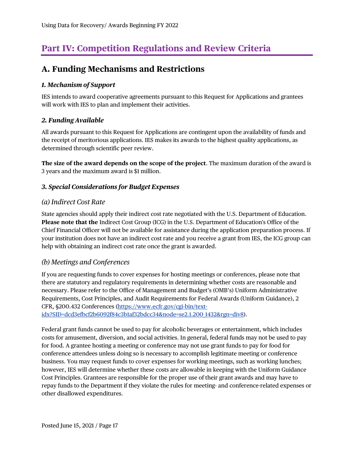## <span id="page-19-0"></span>**Part IV: Competition Regulations and Review Criteria**

### <span id="page-19-1"></span>**A. Funding Mechanisms and Restrictions**

#### <span id="page-19-2"></span>*1. Mechanism of Support*

IES intends to award cooperative agreements pursuant to this Request for Applications and grantees will work with IES to plan and implement their activities.

#### <span id="page-19-3"></span>*2. Funding Available*

All awards pursuant to this Request for Applications are contingent upon the availability of funds and the receipt of meritorious applications. IES makes its awards to the highest quality applications, as determined through scientific peer review.

**The size of the award depends on the scope of the project**. The maximum duration of the award is 3 years and the maximum award is \$1 million.

#### <span id="page-19-4"></span>*3. Special Considerations for Budget Expenses*

#### *(a) Indirect Cost Rate*

State agencies should apply their indirect cost rate negotiated with the U.S. Department of Education. **Please note that the** Indirect Cost Group (ICG) in the U.S. Department of Education's Office of the Chief Financial Officer will not be available for assistance during the application preparation process. If your institution does not have an indirect cost rate and you receive a grant from IES, the ICG group can help with obtaining an indirect cost rate once the grant is awarded.

#### *(b) Meetings and Conferences*

If you are requesting funds to cover expenses for hosting meetings or conferences, please note that there are statutory and regulatory requirements in determining whether costs are reasonable and necessary. Please refer to the Office of Management and Budget's (OMB's) Uniform Administrative Requirements, Cost Principles, and Audit Requirements for Federal Awards (Uniform Guidance), 2 CFR, §200.432 Conferences [\(https://www.ecfr.gov/cgi-bin/text](https://www.ecfr.gov/cgi-bin/text-idx?SID=dcd3efbcf2b6092f84c3b1af32bdcc34&node=se2.1.200_1432&rgn=div8)[idx?SID=dcd3efbcf2b6092f84c3b1af32bdcc34&node=se2.1.200\\_1432&rgn=div8\)](https://www.ecfr.gov/cgi-bin/text-idx?SID=dcd3efbcf2b6092f84c3b1af32bdcc34&node=se2.1.200_1432&rgn=div8).

Federal grant funds cannot be used to pay for alcoholic beverages or entertainment, which includes costs for amusement, diversion, and social activities. In general, federal funds may not be used to pay for food. A grantee hosting a meeting or conference may not use grant funds to pay for food for conference attendees unless doing so is necessary to accomplish legitimate meeting or conference business. You may request funds to cover expenses for working meetings, such as working lunches; however, IES will determine whether these costs are allowable in keeping with the Uniform Guidance Cost Principles. Grantees are responsible for the proper use of their grant awards and may have to repay funds to the Department if they violate the rules for meeting- and conference-related expenses or other disallowed expenditures.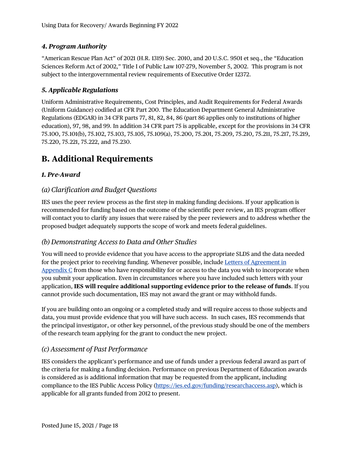#### <span id="page-20-0"></span>*4. Program Authority*

"American Rescue Plan Act" of 2021 (H.R. 1319) Sec. 2010, and 20 U.S.C. 9501 et seq., the "Education Sciences Reform Act of 2002," Title I of Public Law 107-279, November 5, 2002. This program is not subject to the intergovernmental review requirements of Executive Order 12372.

#### <span id="page-20-1"></span>*5. Applicable Regulations*

Uniform Administrative Requirements, Cost Principles, and Audit Requirements for Federal Awards (Uniform Guidance) codified at CFR Part 200. The Education Department General Administrative Regulations (EDGAR) in 34 CFR parts 77, 81, 82, 84, 86 (part 86 applies only to institutions of higher education), 97, 98, and 99. In addition 34 CFR part 75 is applicable, except for the provisions in 34 CFR 75.100, 75.101(b), 75.102, 75.103, 75.105, 75.109(a), 75.200, 75.201, 75.209, 75.210, 75.211, 75.217, 75.219, 75.220, 75.221, 75.222, and 75.230.

### <span id="page-20-2"></span>**B. Additional Requirements**

#### <span id="page-20-3"></span>*1. Pre-Award*

#### *(a) Clarification and Budget Questions*

IES uses the peer review process as the first step in making funding decisions. If your application is recommended for funding based on the outcome of the scientific peer review, an IES program officer will contact you to clarify any issues that were raised by the peer reviewers and to address whether the proposed budget adequately supports the scope of work and meets federal guidelines.

#### *(b) Demonstrating Access to Data and Other Studies*

You will need to provide evidence that you have access to the appropriate SLDS and the data needed for the project prior to receiving funding. Whenever possible, include [Letters of Agreement in](#page-15-2)  Appendix  $C$  from those who have responsibility for or access to the data you wish to incorporate when you submit your application. Even in circumstances where you have included such letters with your application, **IES will require additional supporting evidence prior to the release of funds**. If you cannot provide such documentation, IES may not award the grant or may withhold funds.

If you are building onto an ongoing or a completed study and will require access to those subjects and data, you must provide evidence that you will have such access. In such cases, IES recommends that the principal investigator, or other key personnel, of the previous study should be one of the members of the research team applying for the grant to conduct the new project.

#### *(c) Assessment of Past Performance*

IES considers the applicant's performance and use of funds under a previous federal award as part of the criteria for making a funding decision. Performance on previous Department of Education awards is considered as is additional information that may be requested from the applicant, including compliance to the IES Public Access Policy [\(https://ies.ed.gov/funding/researchaccess.asp\)](https://ies.ed.gov/funding/researchaccess.asp), which is applicable for all grants funded from 2012 to present.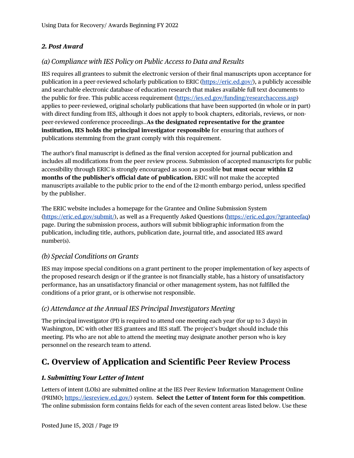#### <span id="page-21-0"></span>*2. Post Award*

#### *(a) Compliance with IES Policy on Public Access to Data and Results*

IES requires all grantees to submit the electronic version of their final manuscripts upon acceptance for publication in a peer-reviewed scholarly publication to ERIC [\(https://eric.ed.gov/\)](https://eric.ed.gov/), a publicly accessible and searchable electronic database of education research that makes available full text documents to the public for free. This public access requirement [\(https://ies.ed.gov/funding/researchaccess.asp\)](https://ies.ed.gov/funding/researchaccess.asp) applies to peer-reviewed, original scholarly publications that have been supported (in whole or in part) with direct funding from IES, although it does not apply to book chapters, editorials, reviews, or nonpeer-reviewed conference proceedings..**As the designated representative for the grantee institution, IES holds the principal investigator responsible** for ensuring that authors of publications stemming from the grant comply with this requirement.

The author's final manuscript is defined as the final version accepted for journal publication and includes all modifications from the peer review process. Submission of accepted manuscripts for public accessibility through ERIC is strongly encouraged as soon as possible **but must occur within 12 months of the publisher's official date of publication.** ERIC will not make the accepted manuscripts available to the public prior to the end of the 12-month embargo period, unless specified by the publisher.

The ERIC website includes a homepage for the Grantee and Online Submission System [\(https://eric.ed.gov/submit/\)](https://eric.ed.gov/submit/), as well as a Frequently Asked Questions [\(https://eric.ed.gov/?granteefaq\)](https://eric.ed.gov/?granteefaq) page. During the submission process, authors will submit bibliographic information from the publication, including title, authors, publication date, journal title, and associated IES award number(s).

#### *(b) Special Conditions on Grants*

IES may impose special conditions on a grant pertinent to the proper implementation of key aspects of the proposed research design or if the grantee is not financially stable, has a history of unsatisfactory performance, has an unsatisfactory financial or other management system, has not fulfilled the conditions of a prior grant, or is otherwise not responsible.

#### *(c) Attendance at the Annual IES Principal Investigators Meeting*

The principal investigator (PI) is required to attend one meeting each year (for up to 3 days) in Washington, DC with other IES grantees and IES staff. The project's budget should include this meeting. PIs who are not able to attend the meeting may designate another person who is key personnel on the research team to attend.

### <span id="page-21-1"></span>**C. Overview of Application and Scientific Peer Review Process**

#### <span id="page-21-2"></span>*1. Submitting Your Letter of Intent*

Letters of intent (LOIs) are submitted online at the IES Peer Review Information Management Online (PRIMO; [https://iesreview.ed.gov/\)](https://iesreview.ed.gov/) system. **Select the Letter of Intent form for this competition**. The online submission form contains fields for each of the seven content areas listed below. Use these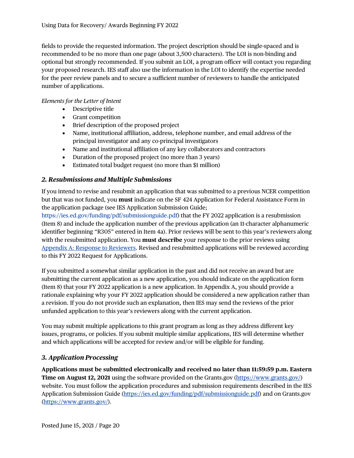fields to provide the requested information. The project description should be single-spaced and is recommended to be no more than one page (about 3,500 characters). The LOI is non-binding and optional but strongly recommended. If you submit an LOI, a program officer will contact you regarding your proposed research. IES staff also use the information in the LOI to identify the expertise needed for the peer review panels and to secure a sufficient number of reviewers to handle the anticipated number of applications.

#### *Elements for the Letter of Intent*

- Descriptive title
- Grant competition
- Brief description of the proposed project
- Name, institutional affiliation, address, telephone number, and email address of the principal investigator and any co-principal investigators
- Name and institutional affiliation of any key collaborators and contractors
- Duration of the proposed project (no more than 3 years)
- Estimated total budget request (no more than \$1 million)

#### <span id="page-22-0"></span>*2. Resubmissions and Multiple Submissions*

If you intend to revise and resubmit an application that was submitted to a previous NCER competition but that was not funded, you **must** indicate on the SF 424 Application for Federal Assistance Form in the application package (see IES Application Submission Guide;

https://ies.ed.gov/funding/pdf/submissionguide.pdf) that the FY 2022 application is a resubmission (Item 8) and include the application number of the previous application (an 11-character alphanumeric identifier beginning "R305" entered in Item 4a). Prior reviews will be sent to this year's reviewers along with the resubmitted application. You **must describe** your response to the prior reviews using [Appendix A: Response to Reviewers.](#page-14-4) Revised and resubmitted applications will be reviewed according to this FY 2022 Request for Applications.

If you submitted a somewhat similar application in the past and did not receive an award but are submitting the current application as a new application, you should indicate on the application form (Item 8) that your FY 2022 application is a new application. In Appendix A, you should provide a rationale explaining why your FY 2022 application should be considered a new application rather than a revision. If you do not provide such an explanation, then IES may send the reviews of the prior unfunded application to this year's reviewers along with the current application.

You may submit multiple applications to this grant program as long as they address different key issues, programs, or policies. If you submit multiple similar applications, IES will determine whether and which applications will be accepted for review and/or will be eligible for funding.

#### <span id="page-22-1"></span>*3. Application Processing*

**Applications must be submitted electronically and received no later than 11:59:59 p.m. Eastern Time on August 12, 2021** using the software provided on the Grants.gov [\(https://www.grants.gov/\)](https://www.grants.gov/) website. You must follow the application procedures and submission requirements described in the IES Application Submission Guide [\(https://ies.ed.gov/funding/pdf/submissionguide.pdf\)](https://ies.ed.gov/funding/pdf/submissionguide.pdf) and on Grants.gov [\(https://www.grants.gov/\)](https://www.grants.gov/).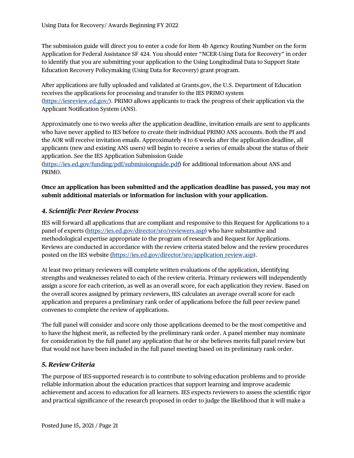The submission guide will direct you to enter a code for Item 4b Agency Routing Number on the form Application for Federal Assistance SF 424. You should enter "NCER-Using Data for Recovery" in order to identify that you are submitting your application to the Using Longitudinal Data to Support State Education Recovery Policymaking (Using Data for Recovery) grant program.

After applications are fully uploaded and validated at Grants.gov, the U.S. Department of Education receives the applications for processing and transfer to the IES PRIMO system [\(https://iesreview.ed.gov/\)](https://iesreview.ed.gov/). PRIMO allows applicants to track the progress of their application via the Applicant Notification System (ANS).

Approximately one to two weeks after the application deadline, invitation emails are sent to applicants who have never applied to IES before to create their individual PRIMO ANS accounts. Both the PI and the AOR will receive invitation emails. Approximately 4 to 6 weeks after the application deadline, all applicants (new and existing ANS users) will begin to receive a series of emails about the status of their application. See the IES Application Submission Guide

[\(https://ies.ed.gov/funding/pdf/submissionguide.pdf\)](https://ies.ed.gov/funding/pdf/submissionguide.pdf) for additional information about ANS and PRIMO.

#### **Once an application has been submitted and the application deadline has passed, you may not submit additional materials or information for inclusion with your application.**

#### <span id="page-23-0"></span>*4. Scientific Peer Review Process*

IES will forward all applications that are compliant and responsive to this Request for Applications to a panel of experts [\(https://ies.ed.gov/director/sro/reviewers.asp\)](https://ies.ed.gov/director/sro/reviewers.asp) who have substantive and methodological expertise appropriate to the program of research and Request for Applications. Reviews are conducted in accordance with the review criteria stated below and the review procedures posted on the IES website (https://ies.ed.gov/director/sro/application review.asp).

At least two primary reviewers will complete written evaluations of the application, identifying strengths and weaknesses related to each of the review criteria. Primary reviewers will independently assign a score for each criterion, as well as an overall score, for each application they review. Based on the overall scores assigned by primary reviewers, IES calculates an average overall score for each application and prepares a preliminary rank order of applications before the full peer review panel convenes to complete the review of applications.

The full panel will consider and score only those applications deemed to be the most competitive and to have the highest merit, as reflected by the preliminary rank order. A panel member may nominate for consideration by the full panel any application that he or she believes merits full panel review but that would not have been included in the full panel meeting based on its preliminary rank order.

#### <span id="page-23-1"></span>*5. Review Criteria*

The purpose of IES-supported research is to contribute to solving education problems and to provide reliable information about the education practices that support learning and improve academic achievement and access to education for all learners. IES expects reviewers to assess the scientific rigor and practical significance of the research proposed in order to judge the likelihood that it will make a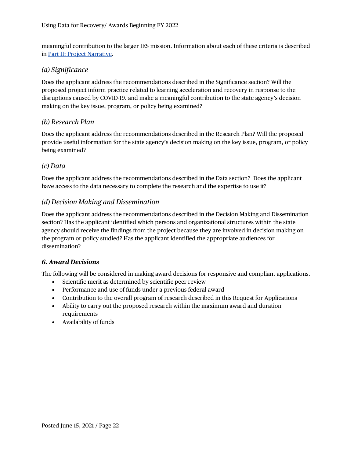meaningful contribution to the larger IES mission. Information about each of these criteria is described in Part II: [Project Narrative.](#page-8-0)

#### *(a) Significance*

Does the applicant address the recommendations described in the Significance section? Will the proposed project inform practice related to learning acceleration and recovery in response to the disruptions caused by COVID-19. and make a meaningful contribution to the state agency's decision making on the key issue, program, or policy being examined?

#### *(b) Research Plan*

Does the applicant address the recommendations described in the Research Plan? Will the proposed provide useful information for the state agency's decision making on the key issue, program, or policy being examined?

#### *(c) Data*

Does the applicant address the recommendations described in the Data section? Does the applicant have access to the data necessary to complete the research and the expertise to use it?

#### *(d) Decision Making and Dissemination*

Does the applicant address the recommendations described in the Decision Making and Dissemination section? Has the applicant identified which persons and organizational structures within the state agency should receive the findings from the project because they are involved in decision making on the program or policy studied? Has the applicant identified the appropriate audiences for dissemination?

#### <span id="page-24-0"></span>*6. Award Decisions*

The following will be considered in making award decisions for responsive and compliant applications.

- Scientific merit as determined by scientific peer review
- Performance and use of funds under a previous federal award
- Contribution to the overall program of research described in this Request for Applications
- Ability to carry out the proposed research within the maximum award and duration requirements
- Availability of funds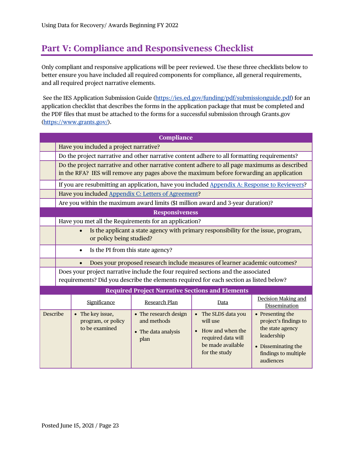## <span id="page-25-0"></span>**Part V: Compliance and Responsiveness Checklist**

Only compliant and responsive applications will be peer reviewed. Use these three checklists below to better ensure you have included all required components for compliance, all general requirements, and all required project narrative elements.

See the IES Application Submission Guide [\(https://ies.ed.gov/funding/pdf/submissionguide.pdf\)](https://ies.ed.gov/funding/pdf/submissionguide.pdf) for an application checklist that describes the forms in the application package that must be completed and the PDF files that must be attached to the forms for a successful submission through Grants.gov [\(https://www.grants.gov/\)](https://www.grants.gov/).

| <b>Compliance</b>     |                                                                                                                                                                                           |                                                          |                                                                     |                                                                                                                   |                                                                                                                                         |  |
|-----------------------|-------------------------------------------------------------------------------------------------------------------------------------------------------------------------------------------|----------------------------------------------------------|---------------------------------------------------------------------|-------------------------------------------------------------------------------------------------------------------|-----------------------------------------------------------------------------------------------------------------------------------------|--|
|                       | Have you included a project narrative?                                                                                                                                                    |                                                          |                                                                     |                                                                                                                   |                                                                                                                                         |  |
|                       | Do the project narrative and other narrative content adhere to all formatting requirements?                                                                                               |                                                          |                                                                     |                                                                                                                   |                                                                                                                                         |  |
|                       | Do the project narrative and other narrative content adhere to all page maximums as described<br>in the RFA? IES will remove any pages above the maximum before forwarding an application |                                                          |                                                                     |                                                                                                                   |                                                                                                                                         |  |
|                       | If you are resubmitting an application, have you included Appendix A: Response to Reviewers?                                                                                              |                                                          |                                                                     |                                                                                                                   |                                                                                                                                         |  |
|                       | Have you included Appendix C: Letters of Agreement?                                                                                                                                       |                                                          |                                                                     |                                                                                                                   |                                                                                                                                         |  |
|                       | Are you within the maximum award limits (\$1 million award and 3-year duration)?                                                                                                          |                                                          |                                                                     |                                                                                                                   |                                                                                                                                         |  |
| <b>Responsiveness</b> |                                                                                                                                                                                           |                                                          |                                                                     |                                                                                                                   |                                                                                                                                         |  |
|                       | Have you met all the Requirements for an application?                                                                                                                                     |                                                          |                                                                     |                                                                                                                   |                                                                                                                                         |  |
|                       | Is the applicant a state agency with primary responsibility for the issue, program,<br>$\bullet$<br>or policy being studied?                                                              |                                                          |                                                                     |                                                                                                                   |                                                                                                                                         |  |
|                       | Is the PI from this state agency?<br>$\bullet$                                                                                                                                            |                                                          |                                                                     |                                                                                                                   |                                                                                                                                         |  |
|                       | Does your proposed research include measures of learner academic outcomes?                                                                                                                |                                                          |                                                                     |                                                                                                                   |                                                                                                                                         |  |
|                       | Does your project narrative include the four required sections and the associated<br>requirements? Did you describe the elements required for each section as listed below?               |                                                          |                                                                     |                                                                                                                   |                                                                                                                                         |  |
|                       |                                                                                                                                                                                           |                                                          | <b>Required Project Narrative Sections and Elements</b>             |                                                                                                                   |                                                                                                                                         |  |
|                       |                                                                                                                                                                                           | Significance                                             | Research Plan                                                       | Data                                                                                                              | <b>Decision Making and</b><br>Dissemination                                                                                             |  |
| Describe              |                                                                                                                                                                                           | • The key issue,<br>program, or policy<br>to be examined | • The research design<br>and methods<br>• The data analysis<br>plan | • The SLDS data you<br>will use<br>• How and when the<br>required data will<br>be made available<br>for the study | • Presenting the<br>project's findings to<br>the state agency<br>leadership<br>• Disseminating the<br>findings to multiple<br>audiences |  |